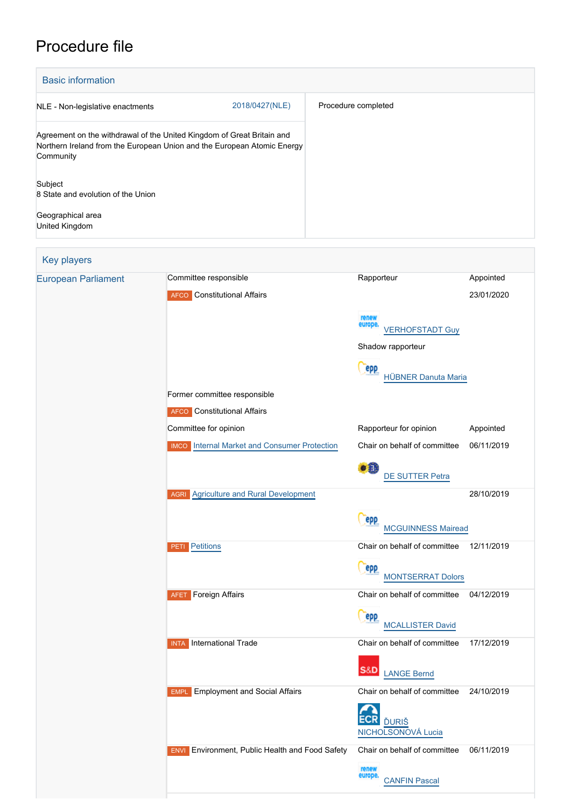# Procedure file

| <b>Basic information</b>                                                                                                                                       |                     |
|----------------------------------------------------------------------------------------------------------------------------------------------------------------|---------------------|
| 2018/0427(NLE)<br>NLE - Non-legislative enactments                                                                                                             | Procedure completed |
| Agreement on the withdrawal of the United Kingdom of Great Britain and<br>Northern Ireland from the European Union and the European Atomic Energy<br>Community |                     |
| Subject<br>8 State and evolution of the Union                                                                                                                  |                     |
| Geographical area<br>United Kingdom                                                                                                                            |                     |

### Key players

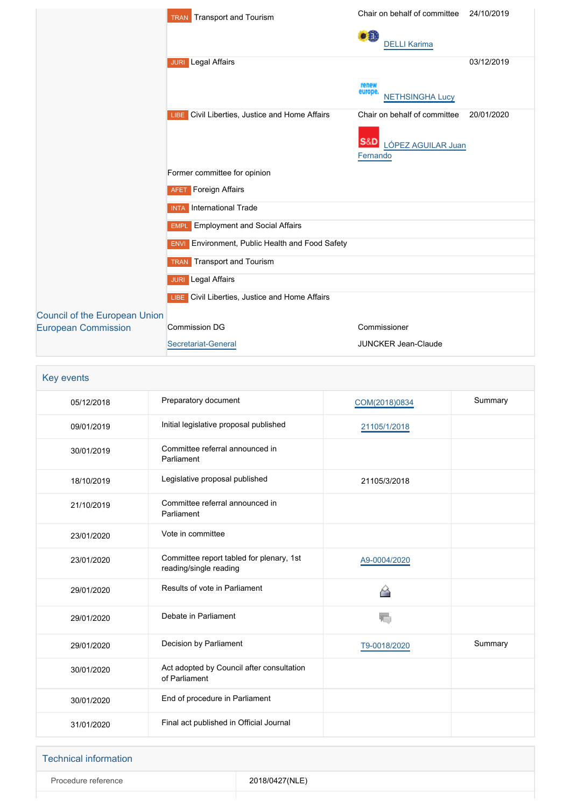|                                                                    | <b>Transport and Tourism</b><br>TRAN                   | Chair on behalf of committee               | 24/10/2019 |
|--------------------------------------------------------------------|--------------------------------------------------------|--------------------------------------------|------------|
|                                                                    |                                                        | $\bullet$ $\bullet$<br><b>DELLI Karima</b> |            |
|                                                                    | <b>JURI</b> Legal Affairs                              |                                            | 03/12/2019 |
|                                                                    |                                                        | renew<br>europe<br><b>NETHSINGHA Lucy</b>  |            |
|                                                                    | Civil Liberties, Justice and Home Affairs<br>LIBE.     | Chair on behalf of committee               | 20/01/2020 |
|                                                                    |                                                        | S&D<br>LÓPEZ AGUILAR Juan<br>Fernando      |            |
|                                                                    | Former committee for opinion                           |                                            |            |
|                                                                    | <b>AFET</b> Foreign Affairs                            |                                            |            |
|                                                                    | International Trade<br><b>INTA</b>                     |                                            |            |
|                                                                    | <b>Employment and Social Affairs</b><br><b>EMPL</b>    |                                            |            |
|                                                                    | <b>ENVI</b> Environment, Public Health and Food Safety |                                            |            |
|                                                                    | Transport and Tourism<br><b>TRAN</b>                   |                                            |            |
|                                                                    | Legal Affairs<br><b>JURI</b>                           |                                            |            |
|                                                                    | <b>LIBE</b> Civil Liberties, Justice and Home Affairs  |                                            |            |
| <b>Council of the European Union</b><br><b>European Commission</b> | <b>Commission DG</b>                                   | Commissioner                               |            |
|                                                                    | Secretariat-General                                    | <b>JUNCKER Jean-Claude</b>                 |            |

| Key events |                                                                    |               |         |
|------------|--------------------------------------------------------------------|---------------|---------|
| 05/12/2018 | Preparatory document                                               | COM(2018)0834 | Summary |
| 09/01/2019 | Initial legislative proposal published                             | 21105/1/2018  |         |
| 30/01/2019 | Committee referral announced in<br>Parliament                      |               |         |
| 18/10/2019 | Legislative proposal published                                     | 21105/3/2018  |         |
| 21/10/2019 | Committee referral announced in<br>Parliament                      |               |         |
| 23/01/2020 | Vote in committee                                                  |               |         |
| 23/01/2020 | Committee report tabled for plenary, 1st<br>reading/single reading | A9-0004/2020  |         |
| 29/01/2020 | Results of vote in Parliament                                      | ≙             |         |
| 29/01/2020 | Debate in Parliament                                               | V.            |         |
| 29/01/2020 | Decision by Parliament                                             | T9-0018/2020  | Summary |
| 30/01/2020 | Act adopted by Council after consultation<br>of Parliament         |               |         |
| 30/01/2020 | End of procedure in Parliament                                     |               |         |
| 31/01/2020 | Final act published in Official Journal                            |               |         |

|  | <b>Technical information</b> |
|--|------------------------------|
|  |                              |

Procedure reference 2018/0427(NLE)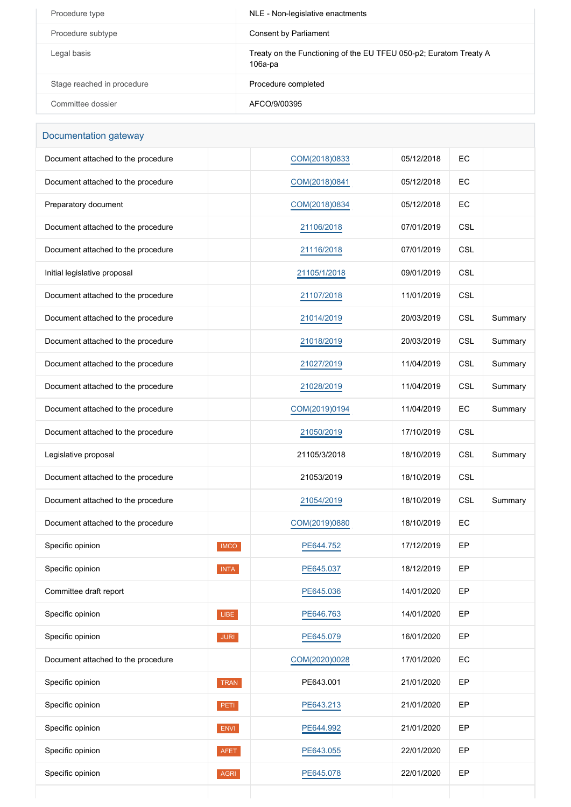| Procedure type             | NLE - Non-legislative enactments                                                |
|----------------------------|---------------------------------------------------------------------------------|
| Procedure subtype          | Consent by Parliament                                                           |
| Legal basis                | Treaty on the Functioning of the EU TFEU 050-p2; Euratom Treaty A<br>$106a$ -pa |
| Stage reached in procedure | Procedure completed                                                             |
| Committee dossier          | AFCO/9/00395                                                                    |

### Documentation gateway

| Document attached to the procedure |             | COM(2018)0833 | 05/12/2018 | EC         |         |
|------------------------------------|-------------|---------------|------------|------------|---------|
| Document attached to the procedure |             | COM(2018)0841 | 05/12/2018 | EC         |         |
| Preparatory document               |             | COM(2018)0834 | 05/12/2018 | EC         |         |
| Document attached to the procedure |             | 21106/2018    | 07/01/2019 | <b>CSL</b> |         |
| Document attached to the procedure |             | 21116/2018    | 07/01/2019 | <b>CSL</b> |         |
| Initial legislative proposal       |             | 21105/1/2018  | 09/01/2019 | <b>CSL</b> |         |
| Document attached to the procedure |             | 21107/2018    | 11/01/2019 | <b>CSL</b> |         |
| Document attached to the procedure |             | 21014/2019    | 20/03/2019 | <b>CSL</b> | Summary |
| Document attached to the procedure |             | 21018/2019    | 20/03/2019 | <b>CSL</b> | Summary |
| Document attached to the procedure |             | 21027/2019    | 11/04/2019 | <b>CSL</b> | Summary |
| Document attached to the procedure |             | 21028/2019    | 11/04/2019 | <b>CSL</b> | Summary |
| Document attached to the procedure |             | COM(2019)0194 | 11/04/2019 | EC         | Summary |
| Document attached to the procedure |             | 21050/2019    | 17/10/2019 | <b>CSL</b> |         |
| Legislative proposal               |             | 21105/3/2018  | 18/10/2019 | <b>CSL</b> | Summary |
| Document attached to the procedure |             | 21053/2019    | 18/10/2019 | <b>CSL</b> |         |
| Document attached to the procedure |             | 21054/2019    | 18/10/2019 | <b>CSL</b> | Summary |
| Document attached to the procedure |             | COM(2019)0880 | 18/10/2019 | EC         |         |
| Specific opinion                   | <b>IMCO</b> | PE644.752     | 17/12/2019 | EP         |         |
| Specific opinion                   | <b>INTA</b> | PE645.037     | 18/12/2019 | EP         |         |
| Committee draft report             |             | PE645.036     | 14/01/2020 | EP         |         |
| Specific opinion                   | LIBE        | PE646.763     | 14/01/2020 | EP         |         |
| Specific opinion                   | <b>JURI</b> | PE645.079     | 16/01/2020 | EP         |         |
| Document attached to the procedure |             | COM(2020)0028 | 17/01/2020 | EC         |         |
| Specific opinion                   | TRAN        | PE643.001     | 21/01/2020 | EP         |         |
| Specific opinion                   | PETI        | PE643.213     | 21/01/2020 | EP         |         |
| Specific opinion                   | ENVI        | PE644.992     | 21/01/2020 | EP         |         |
| Specific opinion                   | <b>AFET</b> | PE643.055     | 22/01/2020 | EP         |         |
| Specific opinion                   | AGRI        | PE645.078     | 22/01/2020 | EP         |         |
|                                    |             |               |            |            |         |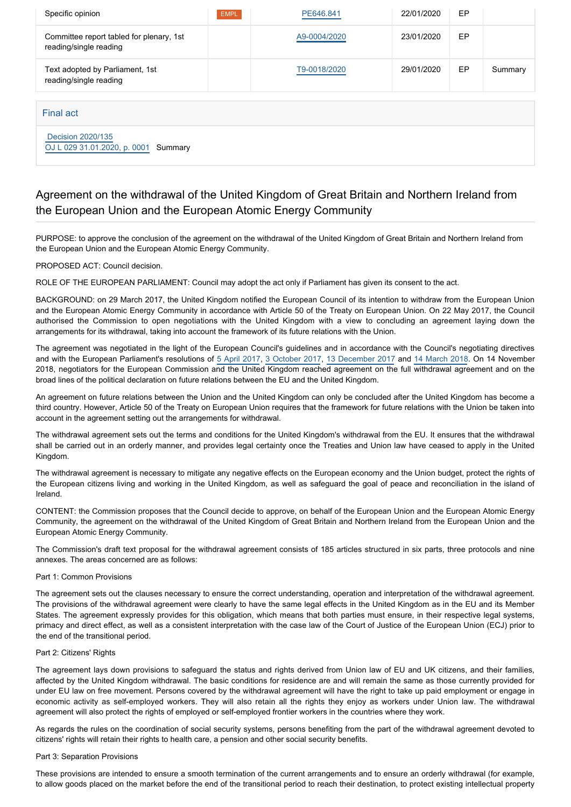| Specific opinion                                                   | <b>EMPL</b> | PE646.841    | 22/01/2020 | EP |         |
|--------------------------------------------------------------------|-------------|--------------|------------|----|---------|
| Committee report tabled for plenary, 1st<br>reading/single reading |             | A9-0004/2020 | 23/01/2020 | EP |         |
| Text adopted by Parliament, 1st<br>reading/single reading          |             | T9-0018/2020 | 29/01/2020 | EP | Summary |
|                                                                    |             |              |            |    |         |
| Final act                                                          |             |              |            |    |         |
| Decision 2020/135                                                  |             |              |            |    |         |

## Agreement on the withdrawal of the United Kingdom of Great Britain and Northern Ireland from the European Union and the European Atomic Energy Community

PURPOSE: to approve the conclusion of the agreement on the withdrawal of the United Kingdom of Great Britain and Northern Ireland from the European Union and the European Atomic Energy Community.

### PROPOSED ACT: Council decision.

[OJ L 029 31.01.2020, p. 0001](https://eur-lex.europa.eu/legal-content/EN/TXT/?uri=OJ:L:2020:029:TOC) Summary

ROLE OF THE EUROPEAN PARLIAMENT: Council may adopt the act only if Parliament has given its consent to the act.

BACKGROUND: on 29 March 2017, the United Kingdom notified the European Council of its intention to withdraw from the European Union and the European Atomic Energy Community in accordance with Article 50 of the Treaty on European Union. On 22 May 2017, the Council authorised the Commission to open negotiations with the United Kingdom with a view to concluding an agreement laying down the arrangements for its withdrawal, taking into account the framework of its future relations with the Union.

The agreement was negotiated in the light of the European Council's guidelines and in accordance with the Council's negotiating directives and with the European Parliament's resolutions of [5 April 2017](https://oeil.secure.europarl.europa.eu/oeil/popups/ficheprocedure.do?lang=en&reference=2017/2593(RSP)), [3 October 2017](https://oeil.secure.europarl.europa.eu/oeil/popups/ficheprocedure.do?lang=en&reference=2017/2847(RSP)), [13 December 2017](https://oeil.secure.europarl.europa.eu/oeil/popups/ficheprocedure.do?lang=en&reference=2017/2964(RSP)) and [14 March 2018](http://www.europarl.europa.eu/sides/getDoc.do?type=TA&reference=20180314&secondRef=TOC&language=en). On 14 November 2018, negotiators for the European Commission and the United Kingdom reached agreement on the full withdrawal agreement and on the broad lines of the political declaration on future relations between the EU and the United Kingdom.

An agreement on future relations between the Union and the United Kingdom can only be concluded after the United Kingdom has become a third country. However, Article 50 of the Treaty on European Union requires that the framework for future relations with the Union be taken into account in the agreement setting out the arrangements for withdrawal.

The withdrawal agreement sets out the terms and conditions for the United Kingdom's withdrawal from the EU. It ensures that the withdrawal shall be carried out in an orderly manner, and provides legal certainty once the Treaties and Union law have ceased to apply in the United Kingdom.

The withdrawal agreement is necessary to mitigate any negative effects on the European economy and the Union budget, protect the rights of the European citizens living and working in the United Kingdom, as well as safeguard the goal of peace and reconciliation in the island of Ireland.

CONTENT: the Commission proposes that the Council decide to approve, on behalf of the European Union and the European Atomic Energy Community, the agreement on the withdrawal of the United Kingdom of Great Britain and Northern Ireland from the European Union and the European Atomic Energy Community.

The Commission's draft text proposal for the withdrawal agreement consists of 185 articles structured in six parts, three protocols and nine annexes. The areas concerned are as follows:

### Part 1: Common Provisions

The agreement sets out the clauses necessary to ensure the correct understanding, operation and interpretation of the withdrawal agreement. The provisions of the withdrawal agreement were clearly to have the same legal effects in the United Kingdom as in the EU and its Member States. The agreement expressly provides for this obligation, which means that both parties must ensure, in their respective legal systems, primacy and direct effect, as well as a consistent interpretation with the case law of the Court of Justice of the European Union (ECJ) prior to the end of the transitional period.

#### Part 2: Citizens' Rights

The agreement lays down provisions to safeguard the status and rights derived from Union law of EU and UK citizens, and their families, affected by the United Kingdom withdrawal. The basic conditions for residence are and will remain the same as those currently provided for under EU law on free movement. Persons covered by the withdrawal agreement will have the right to take up paid employment or engage in economic activity as self-employed workers. They will also retain all the rights they enjoy as workers under Union law. The withdrawal agreement will also protect the rights of employed or self-employed frontier workers in the countries where they work.

As regards the rules on the coordination of social security systems, persons benefiting from the part of the withdrawal agreement devoted to citizens' rights will retain their rights to health care, a pension and other social security benefits.

### Part 3: Separation Provisions

These provisions are intended to ensure a smooth termination of the current arrangements and to ensure an orderly withdrawal (for example, to allow goods placed on the market before the end of the transitional period to reach their destination, to protect existing intellectual property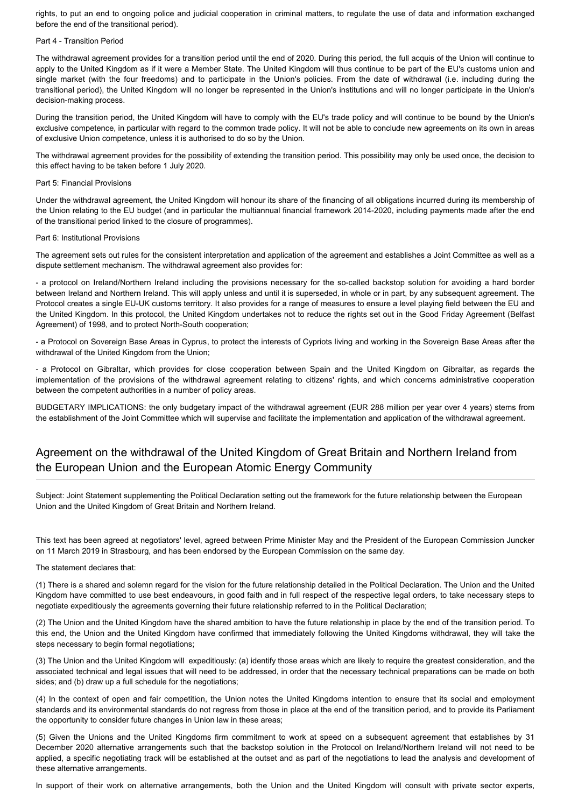rights, to put an end to ongoing police and judicial cooperation in criminal matters, to regulate the use of data and information exchanged before the end of the transitional period).

### Part 4 - Transition Period

The withdrawal agreement provides for a transition period until the end of 2020. During this period, the full acquis of the Union will continue to apply to the United Kingdom as if it were a Member State. The United Kingdom will thus continue to be part of the EU's customs union and single market (with the four freedoms) and to participate in the Union's policies. From the date of withdrawal (i.e. including during the transitional period), the United Kingdom will no longer be represented in the Union's institutions and will no longer participate in the Union's decision-making process.

During the transition period, the United Kingdom will have to comply with the EU's trade policy and will continue to be bound by the Union's exclusive competence, in particular with regard to the common trade policy. It will not be able to conclude new agreements on its own in areas of exclusive Union competence, unless it is authorised to do so by the Union.

The withdrawal agreement provides for the possibility of extending the transition period. This possibility may only be used once, the decision to this effect having to be taken before 1 July 2020.

### Part 5: Financial Provisions

Under the withdrawal agreement, the United Kingdom will honour its share of the financing of all obligations incurred during its membership of the Union relating to the EU budget (and in particular the multiannual financial framework 2014-2020, including payments made after the end of the transitional period linked to the closure of programmes).

### Part 6: Institutional Provisions

The agreement sets out rules for the consistent interpretation and application of the agreement and establishes a Joint Committee as well as a dispute settlement mechanism. The withdrawal agreement also provides for:

- a protocol on Ireland/Northern Ireland including the provisions necessary for the so-called backstop solution for avoiding a hard border between Ireland and Northern Ireland. This will apply unless and until it is superseded, in whole or in part, by any subsequent agreement. The Protocol creates a single EU-UK customs territory. It also provides for a range of measures to ensure a level playing field between the EU and the United Kingdom. In this protocol, the United Kingdom undertakes not to reduce the rights set out in the Good Friday Agreement (Belfast Agreement) of 1998, and to protect North-South cooperation;

- a Protocol on Sovereign Base Areas in Cyprus, to protect the interests of Cypriots living and working in the Sovereign Base Areas after the withdrawal of the United Kingdom from the Union;

- a Protocol on Gibraltar, which provides for close cooperation between Spain and the United Kingdom on Gibraltar, as regards the implementation of the provisions of the withdrawal agreement relating to citizens' rights, and which concerns administrative cooperation between the competent authorities in a number of policy areas.

BUDGETARY IMPLICATIONS: the only budgetary impact of the withdrawal agreement (EUR 288 million per year over 4 years) stems from the establishment of the Joint Committee which will supervise and facilitate the implementation and application of the withdrawal agreement.

### Agreement on the withdrawal of the United Kingdom of Great Britain and Northern Ireland from the European Union and the European Atomic Energy Community

Subject: Joint Statement supplementing the Political Declaration setting out the framework for the future relationship between the European Union and the United Kingdom of Great Britain and Northern Ireland.

This text has been agreed at negotiators' level, agreed between Prime Minister May and the President of the European Commission Juncker on 11 March 2019 in Strasbourg, and has been endorsed by the European Commission on the same day.

### The statement declares that:

(1) There is a shared and solemn regard for the vision for the future relationship detailed in the Political Declaration. The Union and the United Kingdom have committed to use best endeavours, in good faith and in full respect of the respective legal orders, to take necessary steps to negotiate expeditiously the agreements governing their future relationship referred to in the Political Declaration;

(2) The Union and the United Kingdom have the shared ambition to have the future relationship in place by the end of the transition period. To this end, the Union and the United Kingdom have confirmed that immediately following the United Kingdoms withdrawal, they will take the steps necessary to begin formal negotiations;

(3) The Union and the United Kingdom will expeditiously: (a) identify those areas which are likely to require the greatest consideration, and the associated technical and legal issues that will need to be addressed, in order that the necessary technical preparations can be made on both sides; and (b) draw up a full schedule for the negotiations;

(4) In the context of open and fair competition, the Union notes the United Kingdoms intention to ensure that its social and employment standards and its environmental standards do not regress from those in place at the end of the transition period, and to provide its Parliament the opportunity to consider future changes in Union law in these areas;

(5) Given the Unions and the United Kingdoms firm commitment to work at speed on a subsequent agreement that establishes by 31 December 2020 alternative arrangements such that the backstop solution in the Protocol on Ireland/Northern Ireland will not need to be applied, a specific negotiating track will be established at the outset and as part of the negotiations to lead the analysis and development of these alternative arrangements.

In support of their work on alternative arrangements, both the Union and the United Kingdom will consult with private sector experts,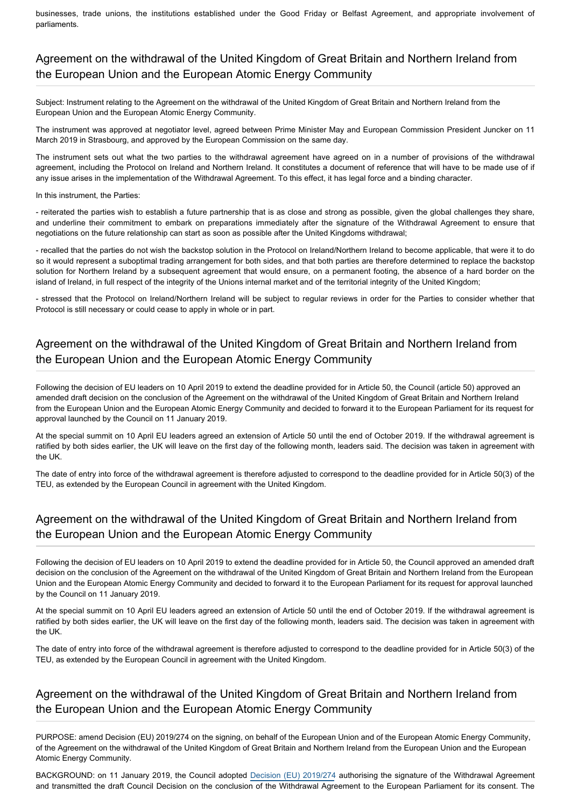businesses, trade unions, the institutions established under the Good Friday or Belfast Agreement, and appropriate involvement of parliaments.

# Agreement on the withdrawal of the United Kingdom of Great Britain and Northern Ireland from the European Union and the European Atomic Energy Community

Subject: Instrument relating to the Agreement on the withdrawal of the United Kingdom of Great Britain and Northern Ireland from the European Union and the European Atomic Energy Community.

The instrument was approved at negotiator level, agreed between Prime Minister May and European Commission President Juncker on 11 March 2019 in Strasbourg, and approved by the European Commission on the same day.

The instrument sets out what the two parties to the withdrawal agreement have agreed on in a number of provisions of the withdrawal agreement, including the Protocol on Ireland and Northern Ireland. It constitutes a document of reference that will have to be made use of if any issue arises in the implementation of the Withdrawal Agreement. To this effect, it has legal force and a binding character.

### In this instrument, the Parties:

- reiterated the parties wish to establish a future partnership that is as close and strong as possible, given the global challenges they share, and underline their commitment to embark on preparations immediately after the signature of the Withdrawal Agreement to ensure that negotiations on the future relationship can start as soon as possible after the United Kingdoms withdrawal;

- recalled that the parties do not wish the backstop solution in the Protocol on Ireland/Northern Ireland to become applicable, that were it to do so it would represent a suboptimal trading arrangement for both sides, and that both parties are therefore determined to replace the backstop solution for Northern Ireland by a subsequent agreement that would ensure, on a permanent footing, the absence of a hard border on the island of Ireland, in full respect of the integrity of the Unions internal market and of the territorial integrity of the United Kingdom;

- stressed that the Protocol on Ireland/Northern Ireland will be subject to regular reviews in order for the Parties to consider whether that Protocol is still necessary or could cease to apply in whole or in part.

## Agreement on the withdrawal of the United Kingdom of Great Britain and Northern Ireland from the European Union and the European Atomic Energy Community

Following the decision of EU leaders on 10 April 2019 to extend the deadline provided for in Article 50, the Council (article 50) approved an amended draft decision on the conclusion of the Agreement on the withdrawal of the United Kingdom of Great Britain and Northern Ireland from the European Union and the European Atomic Energy Community and decided to forward it to the European Parliament for its request for approval launched by the Council on 11 January 2019.

At the special summit on 10 April EU leaders agreed an extension of Article 50 until the end of October 2019. If the withdrawal agreement is ratified by both sides earlier, the UK will leave on the first day of the following month, leaders said. The decision was taken in agreement with the UK.

The date of entry into force of the withdrawal agreement is therefore adjusted to correspond to the deadline provided for in Article 50(3) of the TEU, as extended by the European Council in agreement with the United Kingdom.

### Agreement on the withdrawal of the United Kingdom of Great Britain and Northern Ireland from the European Union and the European Atomic Energy Community

Following the decision of EU leaders on 10 April 2019 to extend the deadline provided for in Article 50, the Council approved an amended draft decision on the conclusion of the Agreement on the withdrawal of the United Kingdom of Great Britain and Northern Ireland from the European Union and the European Atomic Energy Community and decided to forward it to the European Parliament for its request for approval launched by the Council on 11 January 2019.

At the special summit on 10 April EU leaders agreed an extension of Article 50 until the end of October 2019. If the withdrawal agreement is ratified by both sides earlier, the UK will leave on the first day of the following month, leaders said. The decision was taken in agreement with the UK.

The date of entry into force of the withdrawal agreement is therefore adjusted to correspond to the deadline provided for in Article 50(3) of the TEU, as extended by the European Council in agreement with the United Kingdom.

### Agreement on the withdrawal of the United Kingdom of Great Britain and Northern Ireland from the European Union and the European Atomic Energy Community

PURPOSE: amend Decision (EU) 2019/274 on the signing, on behalf of the European Union and of the European Atomic Energy Community, of the Agreement on the withdrawal of the United Kingdom of Great Britain and Northern Ireland from the European Union and the European Atomic Energy Community.

BACKGROUND: on 11 January 2019, the Council adopted [Decision \(EU\) 2019/274](https://eur-lex.europa.eu/legal-content/EN/TXT/?qid=1557049055452&uri=CELEX:32019D0274) authorising the signature of the Withdrawal Agreement and transmitted the draft Council Decision on the conclusion of the Withdrawal Agreement to the European Parliament for its consent. The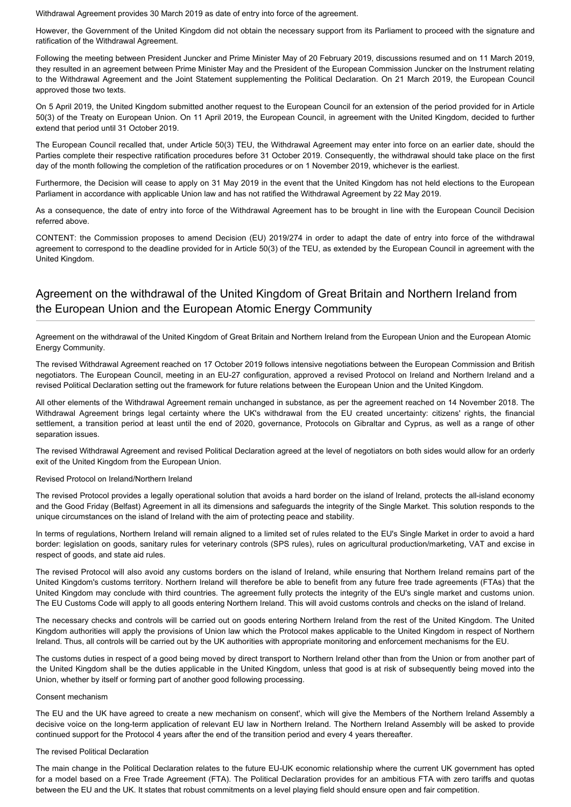Withdrawal Agreement provides 30 March 2019 as date of entry into force of the agreement.

However, the Government of the United Kingdom did not obtain the necessary support from its Parliament to proceed with the signature and ratification of the Withdrawal Agreement.

Following the meeting between President Juncker and Prime Minister May of 20 February 2019, discussions resumed and on 11 March 2019, they resulted in an agreement between Prime Minister May and the President of the European Commission Juncker on the Instrument relating to the Withdrawal Agreement and the Joint Statement supplementing the Political Declaration. On 21 March 2019, the European Council approved those two texts.

On 5 April 2019, the United Kingdom submitted another request to the European Council for an extension of the period provided for in Article 50(3) of the Treaty on European Union. On 11 April 2019, the European Council, in agreement with the United Kingdom, decided to further extend that period until 31 October 2019.

The European Council recalled that, under Article 50(3) TEU, the Withdrawal Agreement may enter into force on an earlier date, should the Parties complete their respective ratification procedures before 31 October 2019. Consequently, the withdrawal should take place on the first day of the month following the completion of the ratification procedures or on 1 November 2019, whichever is the earliest.

Furthermore, the Decision will cease to apply on 31 May 2019 in the event that the United Kingdom has not held elections to the European Parliament in accordance with applicable Union law and has not ratified the Withdrawal Agreement by 22 May 2019.

As a consequence, the date of entry into force of the Withdrawal Agreement has to be brought in line with the European Council Decision referred above.

CONTENT: the Commission proposes to amend Decision (EU) 2019/274 in order to adapt the date of entry into force of the withdrawal agreement to correspond to the deadline provided for in Article 50(3) of the TEU, as extended by the European Council in agreement with the United Kingdom.

## Agreement on the withdrawal of the United Kingdom of Great Britain and Northern Ireland from the European Union and the European Atomic Energy Community

Agreement on the withdrawal of the United Kingdom of Great Britain and Northern Ireland from the European Union and the European Atomic Energy Community.

The revised Withdrawal Agreement reached on 17 October 2019 follows intensive negotiations between the European Commission and British negotiators. The European Council, meeting in an EU-27 configuration, approved a revised Protocol on Ireland and Northern Ireland and a revised Political Declaration setting out the framework for future relations between the European Union and the United Kingdom.

All other elements of the Withdrawal Agreement remain unchanged in substance, as per the agreement reached on 14 November 2018. The Withdrawal Agreement brings legal certainty where the UK's withdrawal from the EU created uncertainty: citizens' rights, the financial settlement, a transition period at least until the end of 2020, governance, Protocols on Gibraltar and Cyprus, as well as a range of other separation issues.

The revised Withdrawal Agreement and revised Political Declaration agreed at the level of negotiators on both sides would allow for an orderly exit of the United Kingdom from the European Union.

### Revised Protocol on Ireland/Northern Ireland

The revised Protocol provides a legally operational solution that avoids a hard border on the island of Ireland, protects the all-island economy and the Good Friday (Belfast) Agreement in all its dimensions and safeguards the integrity of the Single Market. This solution responds to the unique circumstances on the island of Ireland with the aim of protecting peace and stability.

In terms of regulations, Northern Ireland will remain aligned to a limited set of rules related to the EU's Single Market in order to avoid a hard border: legislation on goods, sanitary rules for veterinary controls (SPS rules), rules on agricultural production/marketing, VAT and excise in respect of goods, and state aid rules.

The revised Protocol will also avoid any customs borders on the island of Ireland, while ensuring that Northern Ireland remains part of the United Kingdom's customs territory. Northern Ireland will therefore be able to benefit from any future free trade agreements (FTAs) that the United Kingdom may conclude with third countries. The agreement fully protects the integrity of the EU's single market and customs union. The EU Customs Code will apply to all goods entering Northern Ireland. This will avoid customs controls and checks on the island of Ireland.

The necessary checks and controls will be carried out on goods entering Northern Ireland from the rest of the United Kingdom. The United Kingdom authorities will apply the provisions of Union law which the Protocol makes applicable to the United Kingdom in respect of Northern Ireland. Thus, all controls will be carried out by the UK authorities with appropriate monitoring and enforcement mechanisms for the EU.

The customs duties in respect of a good being moved by direct transport to Northern Ireland other than from the Union or from another part of the United Kingdom shall be the duties applicable in the United Kingdom, unless that good is at risk of subsequently being moved into the Union, whether by itself or forming part of another good following processing.

### Consent mechanism

The EU and the UK have agreed to create a new mechanism on consent', which will give the Members of the Northern Ireland Assembly a decisive voice on the long-term application of relevant EU law in Northern Ireland. The Northern Ireland Assembly will be asked to provide continued support for the Protocol 4 years after the end of the transition period and every 4 years thereafter.

### The revised Political Declaration

The main change in the Political Declaration relates to the future EU-UK economic relationship where the current UK government has opted for a model based on a Free Trade Agreement (FTA). The Political Declaration provides for an ambitious FTA with zero tariffs and quotas between the EU and the UK. It states that robust commitments on a level playing field should ensure open and fair competition.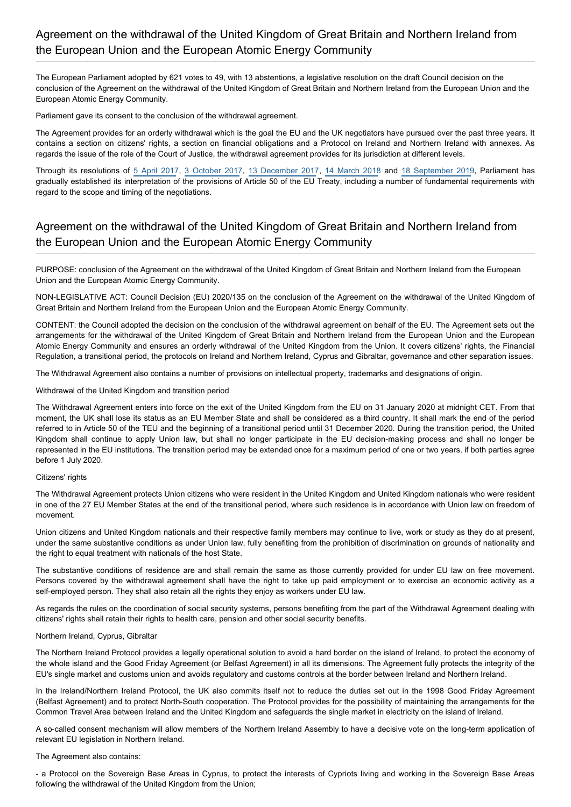The European Parliament adopted by 621 votes to 49, with 13 abstentions, a legislative resolution on the draft Council decision on the conclusion of the Agreement on the withdrawal of the United Kingdom of Great Britain and Northern Ireland from the European Union and the European Atomic Energy Community.

Parliament gave its consent to the conclusion of the withdrawal agreement.

The Agreement provides for an orderly withdrawal which is the goal the EU and the UK negotiators have pursued over the past three years. It contains a section on citizens' rights, a section on financial obligations and a Protocol on Ireland and Northern Ireland with annexes. As regards the issue of the role of the Court of Justice, the withdrawal agreement provides for its jurisdiction at different levels.

Through its resolutions of [5 April 2017](https://oeil.secure.europarl.europa.eu/oeil/popups/ficheprocedure.do?lang=en&reference=2017/2593(RSP)), [3 October 2017](https://oeil.secure.europarl.europa.eu/oeil/popups/ficheprocedure.do?lang=en&reference=2017/2847(RSP)), [13 December 2017](https://oeil.secure.europarl.europa.eu/oeil/popups/ficheprocedure.do?lang=en&reference=2017/2964(RSP)), [14 March 2018](https://oeil.secure.europarl.europa.eu/oeil/popups/ficheprocedure.do?lang=en&reference=2018/2573(RSP)) and [18 September 2019](https://oeil.secure.europarl.europa.eu/oeil/popups/ficheprocedure.do?lang=en&reference=2019/2817(RSP)), Parliament has gradually established its interpretation of the provisions of Article 50 of the EU Treaty, including a number of fundamental requirements with regard to the scope and timing of the negotiations.

## Agreement on the withdrawal of the United Kingdom of Great Britain and Northern Ireland from the European Union and the European Atomic Energy Community

PURPOSE: conclusion of the Agreement on the withdrawal of the United Kingdom of Great Britain and Northern Ireland from the European Union and the European Atomic Energy Community.

NON-LEGISLATIVE ACT: Council Decision (EU) 2020/135 on the conclusion of the Agreement on the withdrawal of the United Kingdom of Great Britain and Northern Ireland from the European Union and the European Atomic Energy Community.

CONTENT: the Council adopted the decision on the conclusion of the withdrawal agreement on behalf of the EU. The Agreement sets out the arrangements for the withdrawal of the United Kingdom of Great Britain and Northern Ireland from the European Union and the European Atomic Energy Community and ensures an orderly withdrawal of the United Kingdom from the Union. It covers citizens' rights, the Financial Regulation, a transitional period, the protocols on Ireland and Northern Ireland, Cyprus and Gibraltar, governance and other separation issues.

The Withdrawal Agreement also contains a number of provisions on intellectual property, trademarks and designations of origin.

### Withdrawal of the United Kingdom and transition period

The Withdrawal Agreement enters into force on the exit of the United Kingdom from the EU on 31 January 2020 at midnight CET. From that moment, the UK shall lose its status as an EU Member State and shall be considered as a third country. It shall mark the end of the period referred to in Article 50 of the TEU and the beginning of a transitional period until 31 December 2020. During the transition period, the United Kingdom shall continue to apply Union law, but shall no longer participate in the EU decision-making process and shall no longer be represented in the EU institutions. The transition period may be extended once for a maximum period of one or two years, if both parties agree before 1 July 2020.

### Citizens' rights

The Withdrawal Agreement protects Union citizens who were resident in the United Kingdom and United Kingdom nationals who were resident in one of the 27 EU Member States at the end of the transitional period, where such residence is in accordance with Union law on freedom of movement.

Union citizens and United Kingdom nationals and their respective family members may continue to live, work or study as they do at present, under the same substantive conditions as under Union law, fully benefiting from the prohibition of discrimination on grounds of nationality and the right to equal treatment with nationals of the host State.

The substantive conditions of residence are and shall remain the same as those currently provided for under EU law on free movement. Persons covered by the withdrawal agreement shall have the right to take up paid employment or to exercise an economic activity as a self-employed person. They shall also retain all the rights they enjoy as workers under EU law.

As regards the rules on the coordination of social security systems, persons benefiting from the part of the Withdrawal Agreement dealing with citizens' rights shall retain their rights to health care, pension and other social security benefits.

### Northern Ireland, Cyprus, Gibraltar

The Northern Ireland Protocol provides a legally operational solution to avoid a hard border on the island of Ireland, to protect the economy of the whole island and the Good Friday Agreement (or Belfast Agreement) in all its dimensions. The Agreement fully protects the integrity of the EU's single market and customs union and avoids regulatory and customs controls at the border between Ireland and Northern Ireland.

In the Ireland/Northern Ireland Protocol, the UK also commits itself not to reduce the duties set out in the 1998 Good Friday Agreement (Belfast Agreement) and to protect North-South cooperation. The Protocol provides for the possibility of maintaining the arrangements for the Common Travel Area between Ireland and the United Kingdom and safeguards the single market in electricity on the island of Ireland.

A so-called consent mechanism will allow members of the Northern Ireland Assembly to have a decisive vote on the long-term application of relevant EU legislation in Northern Ireland.

### The Agreement also contains:

- a Protocol on the Sovereign Base Areas in Cyprus, to protect the interests of Cypriots living and working in the Sovereign Base Areas following the withdrawal of the United Kingdom from the Union;